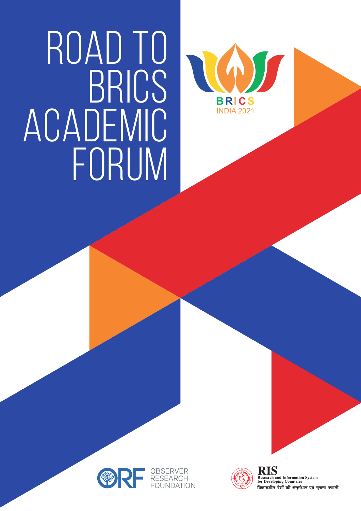# ROAD TO BRICS ACADEMIC FORUM







RIS **Research and Information System**<br>for Developing Countries विकासशील देशों की अनुसंधान एवं सूचना प्रणाली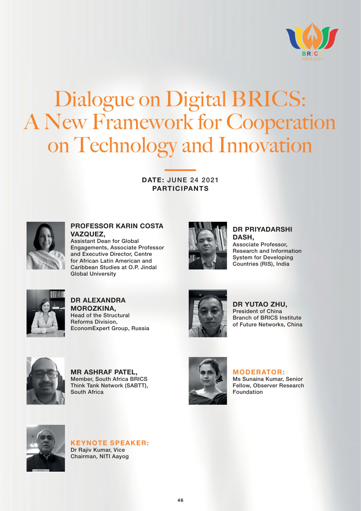

## Dialogue on Digital BRICS: A New Framework for Cooperation on Technology and Innovation

**DATE:** JUNE 24 2021 **PARTICIPANTS**



**PROFESSOR KARIN COSTA VAZQUEZ,** Assistant Dean for Global

Engagements, Associate Professor and Executive Director, Centre for African Latin American and Caribbean Studies at O.P. Jindal Global University



**DR PRIYADARSHI DASH,** Associate Professor, Research and Information System for Developing Countries (RIS), India



**DR ALEXANDRA MOROZKINA,** Head of the Structural Reforms Division, EconomExpert Group, Russia



**DR YUTAO ZHU,** President of China Branch of BRICS Institute of Future Networks, China



**MR ASHRAF PATEL,** Member, South Africa BRICS Think Tank Network (SABTT), South Africa



#### **MODERATOR:**

Ms Sunaina Kumar, Senior Fellow, Observer Research Foundation



**KEYNOTE SPEAKER:** Dr Rajiv Kumar, Vice Chairman, NITI Aayog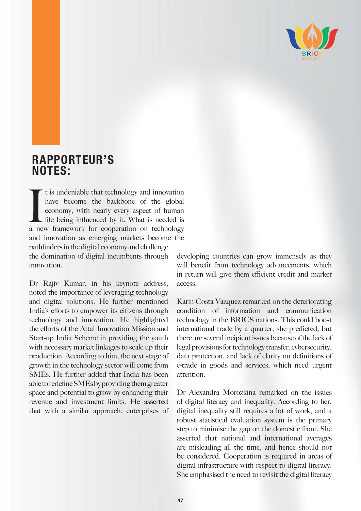

### **RAPPORTEUR'S NOTES:**

It is undeniable that technology and innovation<br>have become the backbone of the global<br>economy, with nearly every aspect of human<br>life being influenced by it. What is needed is<br>a new framework for cooperation on technology t is undeniable that technology and innovation have become the backbone of the global economy, with nearly every aspect of human life being influenced by it. What is needed is and innovation as emerging markets become the pathfindersin the digital economy and challenge the domination of digital incumbents through innovation.

Dr Rajiv Kumar, in his keynote address, noted the importance of leveraging technology and digital solutions. He further mentioned India's efforts to empower its citizens through technology and innovation. He highlighted the efforts of the Attal Innovation Mission and Start-up India Scheme in providing the youth with necessary market linkages to scale up their production. According to him, the next stage of growth in the technology sector will come from SMEs. He further added that India has been able toredefineSMEsbyprovidingthemgreater space and potential to grow by enhancing their revenue and investment limits. He asserted that with a similar approach, enterprises of developing countries can grow immensely as they will benefit from technology advancements, which in return will give them efficient credit and market access.

Karin Costa Vazquez remarked on the deteriorating condition of information and communication technology in the BRICS nations. This could boost international trade by a quarter, she predicted, but there are several incipient issues because of the lack of legal provisions for technology transfer, cybersecurity, data protection, and lack of clarity on definitions of e-trade in goods and services, which need urgent attention.

Dr Alexandra Morozkina remarked on the issues of digital literacy and inequality. According to her, digital inequality still requires a lot of work, and a robust statistical evaluation system is the primary step to minimise the gap on the domestic front. She asserted that national and international averages are misleading all the time, and hence should not be considered. Cooperation is required in areas of digital infrastructure with respect to digital literacy. She emphasised the need to revisit the digital literacy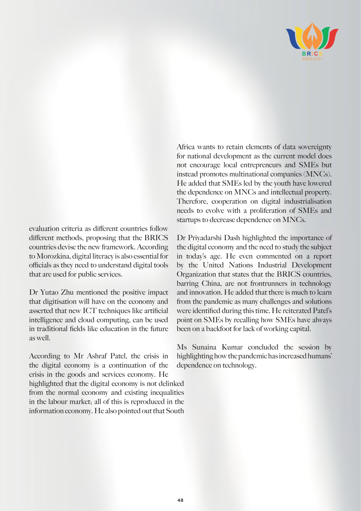

evaluation criteria as different countries follow different methods, proposing that the BRICS countries devise the new framework. According to Morozkina, digital literacy is also essential for officials as they need to understand digital tools that are used for public services.

Dr Yutao Zhu mentioned the positive impact that digitisation will have on the economy and asserted that new ICT techniques like artificial intelligence and cloud computing, can be used in traditional fields like education in the future as well.

According to Mr Ashraf Patel, the crisis in the digital economy is a continuation of the crisis in the goods and services economy. He highlighted that the digital economy is not delinked from the normal economy and existing inequalities in the labour market; all of this is reproduced in the information economy. He also pointed out that South

Africa wants to retain elements of data sovereignty for national development as the current model does not encourage local entrepreneurs and SMEs but instead promotes multinational companies (MNCs). He added that SMEs led by the youth have lowered the dependence on MNCs and intellectual property. Therefore, cooperation on digital industrialisation needs to evolve with a proliferation of SMEs and startups to decrease dependence on MNCs.

Dr Priyadarshi Dash highlighted the importance of the digital economy and the need to study the subject in today's age. He even commented on a report by the United Nations Industrial Development Organization that states that the BRICS countries, barring China, are not frontrunners in technology and innovation. He added that there is much to learn from the pandemic as many challenges and solutions were identified during this time. He reiterated Patel's point on SMEs by recalling how SMEs have always been on a backfoot for lack of working capital.

Ms Sunaina Kumar concluded the session by highlighting how the pandemic has increased humans' dependence on technology.